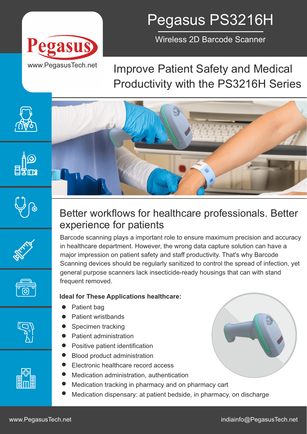

## Pegasus PS3216H

Wireless 2D Barcode Scanner

## Improve Patient Safety and Medical Productivity with the PS3216H Series









### Better workflows for healthcare professionals. Better experience for patients

Barcode scanning plays a important role to ensure maximum precision and accuracy in healthcare department. However, the wrong data capture solution can have a major impression on patient safety and staff productivity. That's why Barcode Scanning devices should be regularly sanitized to control the spread of infection, yet general purpose scanners lack insecticide-ready housings that can with stand frequent removed.

#### **Ideal for These Applications healthcare:**

- Patient bag  $\bullet$
- Patient wristbands
- Specimen tracking
- Patient administration
- Positive patient identification
- Blood product administration
- Electronic healthcare record access
- Medication administration, authentication
- Medication tracking in pharmacy and on pharmacy cart
- Medication dispensary: at patient bedside, in pharmacy, on discharge